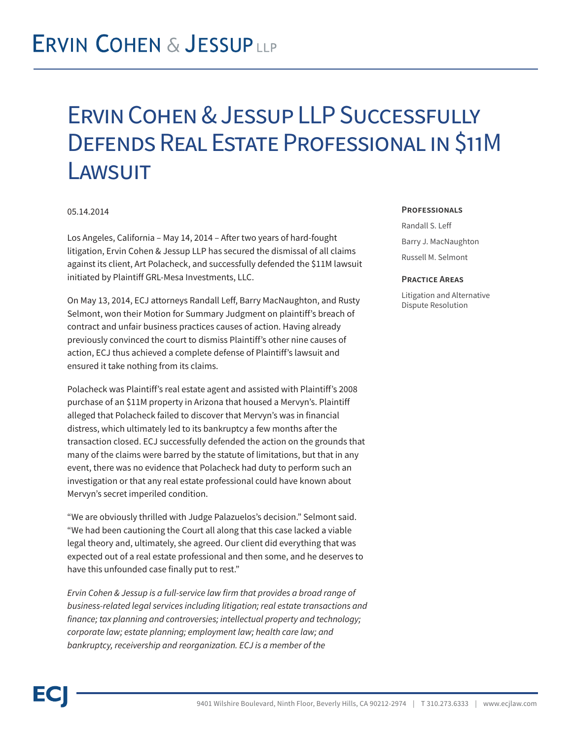## **ERVIN COHEN & JESSUPLLP**

## Ervin Cohen & Jessup LLP Successfully Defends Real Estate Professional in \$11M **LAWSUIT**

### 05.14.2014

Los Angeles, California – May 14, 2014 – After two years of hard-fought litigation, Ervin Cohen & Jessup LLP has secured the dismissal of all claims against its client, Art Polacheck, and successfully defended the \$11M lawsuit initiated by Plaintiff GRL-Mesa Investments, LLC.

On May 13, 2014, ECJ attorneys Randall Leff, Barry MacNaughton, and Rusty Selmont, won their Motion for Summary Judgment on plaintiff's breach of contract and unfair business practices causes of action. Having already previously convinced the court to dismiss Plaintiff's other nine causes of action, ECJ thus achieved a complete defense of Plaintiff's lawsuit and ensured it take nothing from its claims.

Polacheck was Plaintiff's real estate agent and assisted with Plaintiff's 2008 purchase of an \$11M property in Arizona that housed a Mervyn's. Plaintiff alleged that Polacheck failed to discover that Mervyn's was in financial distress, which ultimately led to its bankruptcy a few months after the transaction closed. ECJ successfully defended the action on the grounds that many of the claims were barred by the statute of limitations, but that in any event, there was no evidence that Polacheck had duty to perform such an investigation or that any real estate professional could have known about Mervyn's secret imperiled condition.

"We are obviously thrilled with Judge Palazuelos's decision." Selmont said. "We had been cautioning the Court all along that this case lacked a viable legal theory and, ultimately, she agreed. Our client did everything that was expected out of a real estate professional and then some, and he deserves to have this unfounded case finally put to rest."

*Ervin Cohen & Jessup is a full-service law firm that provides a broad range of business-related legal services including litigation; real estate transactions and finance; tax planning and controversies; intellectual property and technology; corporate law; estate planning; employment law; health care law; and bankruptcy, receivership and reorganization. ECJ is a member of the*

#### **Professionals**

Randall S. Leff Barry J. MacNaughton Russell M. Selmont

#### **Practice Areas**

Litigation and Alternative Dispute Resolution